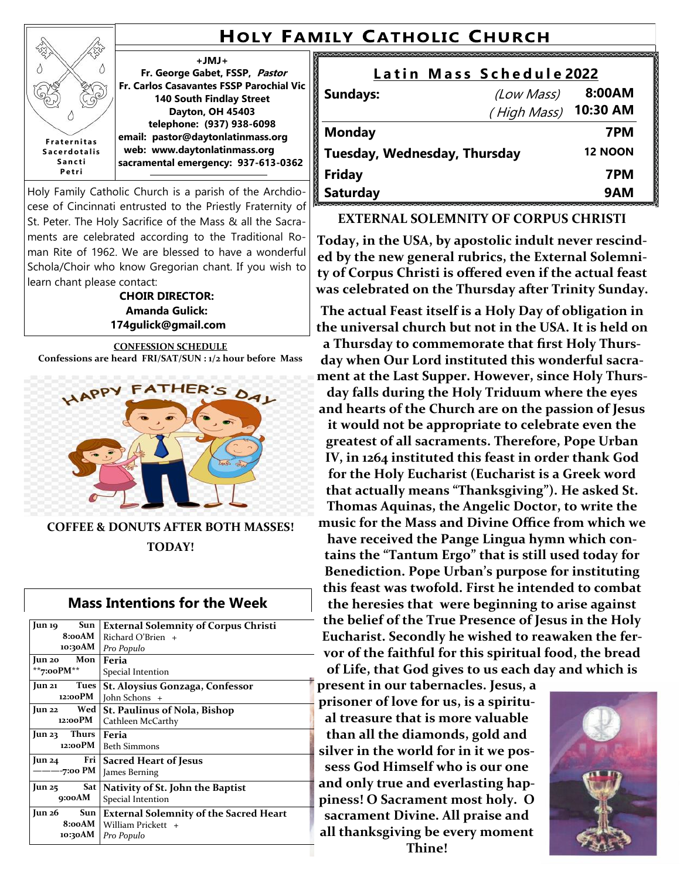# **HOLY FAMILY CATHOLIC CHURCH**

**+JMJ+ Fr. George Gabet, FSSP, Pastor Fr. Carlos Casavantes FSSP Parochial Vic 140 South Findlay Street Dayton, OH 45403 telephone: (937) 938-6098 email: pastor@daytonlatinmass.org web: www.daytonlatinmass.org sacramental emergency: 937-613-0362 F r a t e r n i t a s S a c e r d o t a l i s S a n c t i P e t r i**

ž

Holy Family Catholic Church is a parish of the Archdiocese of Cincinnati entrusted to the Priestly Fraternity of St. Peter. The Holy Sacrifice of the Mass & all the Sacraments are celebrated according to the Traditional Roman Rite of 1962. We are blessed to have a wonderful Schola/Choir who know Gregorian chant. If you wish to learn chant please contact:

**CHOIR DIRECTOR: Amanda Gulick: 174gulick@gmail.com**

**CONFESSION SCHEDULE Confessions are heard FRI/SAT/SUN : 1/2 hour before Mass** 



**COFFEE & DONUTS AFTER BOTH MASSES! TODAY!**

### **Mass Intentions for the Week**

| Sun<br>Jun 19<br>8:00AM<br>10:30AM           | <b>External Solemnity of Corpus Christi</b><br>$Richard O'Brien +$<br>Pro Populo  |
|----------------------------------------------|-----------------------------------------------------------------------------------|
| Jun 20 Mon<br>**7:00 $PM**$                  | Feria<br>Special Intention                                                        |
| Tues<br>$\mathbf{u}$ n 21<br>12:00PM         | St. Aloysius Gonzaga, Confessor<br>John Schons +                                  |
| Wed  <br>Jun 22<br>12:00PM                   | <b>St. Paulinus of Nola, Bishop</b><br>Cathleen McCarthy                          |
| Jun $23$ Thurs<br>12:00PM                    | Feria<br><b>Beth Simmons</b>                                                      |
| Fri 1<br>$\frac{\text{m}}{24}$<br>7:00 PM    | <b>Sacred Heart of Jesus</b><br>James Berning                                     |
| Sat<br>Jun 25<br>9:00AM                      | Nativity of St. John the Baptist<br>Special Intention                             |
| $\mathrm{Jun}26$<br>Sun<br>8:00AM<br>10:30AM | <b>External Solemnity of the Sacred Heart</b><br>William Prickett +<br>Pro Populo |

| Latin Mass Schedule 2022     |                |          |  |
|------------------------------|----------------|----------|--|
| <b>Sundays:</b>              | (Low Mass)     | 8:00AM   |  |
|                              | (High Mass)    | 10:30 AM |  |
| <b>Monday</b>                |                | 7PM      |  |
| Tuesday, Wednesday, Thursday | <b>12 NOON</b> |          |  |
| <b>Friday</b>                |                | 7PM      |  |
| <b>Saturday</b>              |                | 9AM      |  |

#### **EXTERNAL SOLEMNITY OF CORPUS CHRISTI**

**Today, in the USA, by apostolic indult never rescinded by the new general rubrics, the External Solemnity of Corpus Christi is offered even if the actual feast was celebrated on the Thursday after Trinity Sunday.** 

**The actual Feast itself is a Holy Day of obligation in the universal church but not in the USA. It is held on a Thursday to commemorate that first Holy Thursday when Our Lord instituted this wonderful sacrament at the Last Supper. However, since Holy Thurs-**

**day falls during the Holy Triduum where the eyes and hearts of the Church are on the passion of Jesus it would not be appropriate to celebrate even the greatest of all sacraments. Therefore, Pope Urban IV, in 1264 instituted this feast in order thank God for the Holy Eucharist (Eucharist is a Greek word that actually means "Thanksgiving"). He asked St. Thomas Aquinas, the Angelic Doctor, to write the music for the Mass and Divine Office from which we have received the Pange Lingua hymn which contains the "Tantum Ergo" that is still used today for Benediction. Pope Urban's purpose for instituting this feast was twofold. First he intended to combat the heresies that were beginning to arise against the belief of the True Presence of Jesus in the Holy Eucharist. Secondly he wished to reawaken the fervor of the faithful for this spiritual food, the bread of Life, that God gives to us each day and which is** 

**present in our tabernacles. Jesus, a prisoner of love for us, is a spiritual treasure that is more valuable than all the diamonds, gold and silver in the world for in it we possess God Himself who is our one and only true and everlasting happiness! O Sacrament most holy. O sacrament Divine. All praise and all thanksgiving be every moment Thine!**